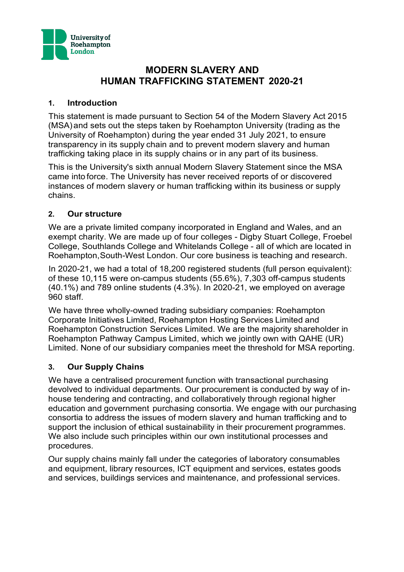

# **MODERN SLAVERY AND HUMAN TRAFFICKING STATEMENT 2020-21**

### **1. Introduction**

This statement is made pursuant to Section 54 of the Modern Slavery Act 2015 (MSA) and sets out the steps taken by Roehampton University (trading as the University of Roehampton) during the year ended 31 July 2021, to ensure transparency in its supply chain and to prevent modern slavery and human trafficking taking place in its supply chains or in any part of its business.

This is the University's sixth annual Modern Slavery Statement since the MSA came into force. The University has never received reports of or discovered instances of modern slavery or human trafficking within its business or supply chains.

## **2. Our structure**

We are a private limited company incorporated in England and Wales, and an exempt charity. We are made up of four colleges - Digby Stuart College, Froebel College, Southlands College and Whitelands College - all of which are located in Roehampton,South-West London. Our core business is teaching and research.

In 2020-21, we had a total of 18,200 registered students (full person equivalent): of these 10,115 were on-campus students (55.6%), 7,303 off-campus students (40.1%) and 789 online students (4.3%). In 2020-21, we employed on average 960 staff.

We have three wholly-owned trading subsidiary companies: Roehampton Corporate Initiatives Limited, Roehampton Hosting Services Limited and Roehampton Construction Services Limited. We are the majority shareholder in Roehampton Pathway Campus Limited, which we jointly own with QAHE (UR) Limited. None of our subsidiary companies meet the threshold for MSA reporting.

### **3. Our Supply Chains**

We have a centralised procurement function with transactional purchasing devolved to individual departments. Our procurement is conducted by way of inhouse tendering and contracting, and collaboratively through regional higher education and government purchasing consortia. We engage with our purchasing consortia to address the issues of modern slavery and human trafficking and to support the inclusion of ethical sustainability in their procurement programmes. We also include such principles within our own institutional processes and procedures.

Our supply chains mainly fall under the categories of laboratory consumables and equipment, library resources, ICT equipment and services, estates goods and services, buildings services and maintenance, and professional services.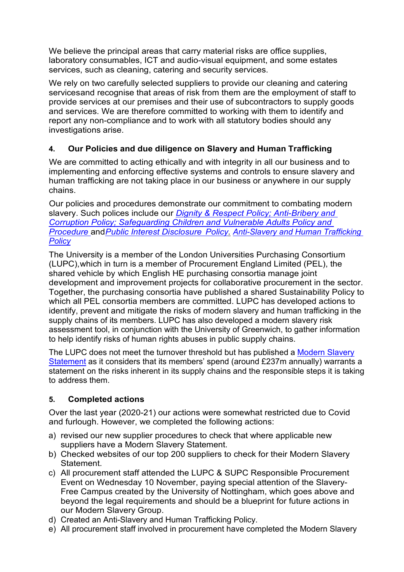We believe the principal areas that carry material risks are office supplies, laboratory consumables, ICT and audio-visual equipment, and some estates services, such as cleaning, catering and security services.

We rely on two carefully selected suppliers to provide our cleaning and catering servicesand recognise that areas of risk from them are the employment of staff to provide services at our premises and their use of subcontractors to supply goods and services. We are therefore committed to working with them to identify and report any non-compliance and to work with all statutory bodies should any investigations arise.

# **4. Our Policies and due diligence on Slavery and Human Trafficking**

We are committed to acting ethically and with integrity in all our business and to implementing and enforcing effective systems and controls to ensure slavery and human trafficking are not taking place in our business or anywhere in our supply chains.

Our policies and procedures demonstrate our commitment to combating modern slavery. Such polices include our *[Dignity & Respect Policy;](https://www.roehampton.ac.uk/globalassets/documents/corporate-information/policies/roehampton-dignity-and-respect-policy-new-logo.pdf) [Anti-Bribery and](https://www.roehampton.ac.uk/globalassets/documents/corporate-information/policies/anti-corruption20and20bribery20policy.pdf) [Corruption Policy;](https://www.roehampton.ac.uk/globalassets/documents/corporate-information/policies/anti-corruption20and20bribery20policy.pdf) [Safeguarding Children and Vulnerable Adults Policy and](https://www.roehampton.ac.uk/globalassets/documents/corporate-information/policies/safeguarding-policy-dec17.pdf)  [Procedure](https://www.roehampton.ac.uk/globalassets/documents/corporate-information/policies/safeguarding-policy-dec17.pdf)* and*Public [Interest Disclosure](https://www.roehampton.ac.uk/globalassets/documents/corporate-information/policies/public-interest-disclosure-policy-october-2018.pdf) Policy. [Anti-Slavery and Human Trafficking](https://www.roehampton.ac.uk/globalassets/documents/corporate-information/policies/antislaverypolicy_june2021.pdf)  [Policy](https://www.roehampton.ac.uk/globalassets/documents/corporate-information/policies/antislaverypolicy_june2021.pdf)*

The University is a member of the London Universities Purchasing Consortium (LUPC),which in turn is a member of Procurement England Limited (PEL), the shared vehicle by which English HE purchasing consortia manage joint development and improvement projects for collaborative procurement in the sector. Together, the purchasing consortia have published a shared Sustainability Policy to which all PEL consortia members are committed. LUPC has developed actions to identify, prevent and mitigate the risks of modern slavery and human trafficking in the supply chains of its members. LUPC has also developed a modern slavery risk assessment tool, in conjunction with the University of Greenwich, to gather information to help identify risks of human rights abuses in public supply chains.

The LUPC does not meet the turnover threshold but has published a [Modern Slavery](https://www.lupc.ac.uk/sites/default/files/Knowledge%20LUPC%20-%20Protecting%20Human%20Rights%20in%20the%20Supply%20Chain_1.pdf) [Statement](https://www.lupc.ac.uk/sites/default/files/Knowledge%20LUPC%20-%20Protecting%20Human%20Rights%20in%20the%20Supply%20Chain_1.pdf) as it considers that its members' spend (around £237m annually) warrants a statement on the risks inherent in its supply chains and the responsible steps it is taking to address them.

# **5. Completed actions**

Over the last year (2020-21) our actions were somewhat restricted due to Covid and furlough. However, we completed the following actions:

- a) revised our new supplier procedures to check that where applicable new suppliers have a Modern Slavery Statement.
- b) Checked websites of our top 200 suppliers to check for their Modern Slavery Statement.
- c) All procurement staff attended the LUPC & SUPC Responsible Procurement Event on Wednesday 10 November, paying special attention of the Slavery-Free Campus created by the University of Nottingham, which goes above and beyond the legal requirements and should be a blueprint for future actions in our Modern Slavery Group.
- d) Created an Anti-Slavery and Human Trafficking Policy.
- e) All procurement staff involved in procurement have completed the Modern Slavery